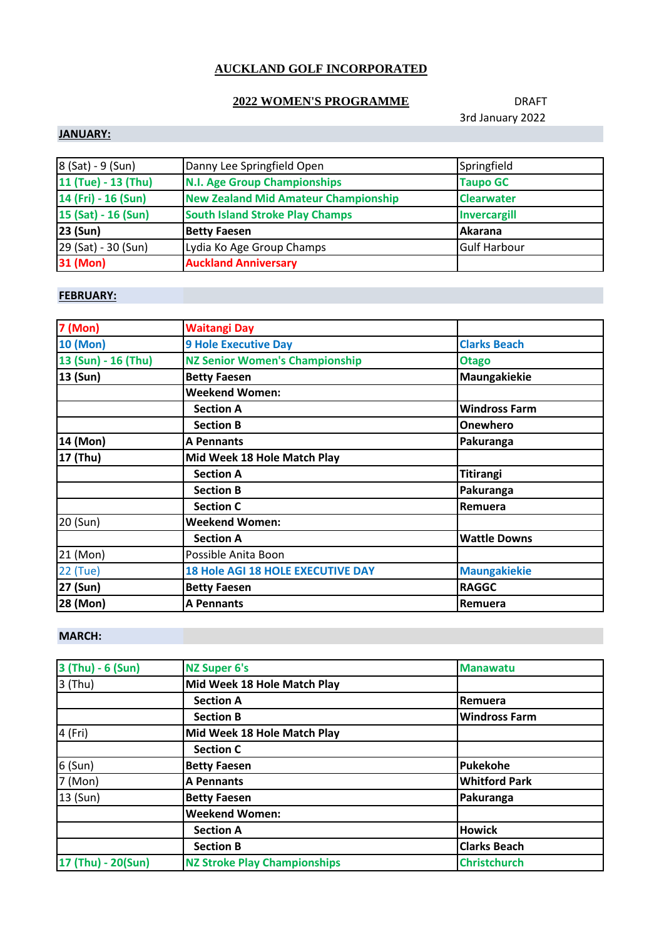# **AUCKLAND GOLF INCORPORATED**

#### **2022 WOMEN'S PROGRAMME** DRAFT

3rd January 2022

## **JANUARY:**

| 8 (Sat) - 9 (Sun)   | Danny Lee Springfield Open                  | Springfield         |
|---------------------|---------------------------------------------|---------------------|
| 11 (Tue) - 13 (Thu) | <b>N.I. Age Group Championships</b>         | <b>Taupo GC</b>     |
| 14 (Fri) - 16 (Sun) | <b>New Zealand Mid Amateur Championship</b> | <b>Clearwater</b>   |
| 15 (Sat) - 16 (Sun) | <b>South Island Stroke Play Champs</b>      | <b>Invercargill</b> |
| 23 (Sun)            | <b>Betty Faesen</b>                         | <b>Akarana</b>      |
| 29 (Sat) - 30 (Sun) | Lydia Ko Age Group Champs                   | <b>Gulf Harbour</b> |
| 31 (Mon)            | <b>Auckland Anniversary</b>                 |                     |

#### **FEBRUARY:**

| <b>7 (Mon)</b>      | <b>Waitangi Day</b>                      |                      |
|---------------------|------------------------------------------|----------------------|
| <b>10 (Mon)</b>     | <b>9 Hole Executive Day</b>              | <b>Clarks Beach</b>  |
| 13 (Sun) - 16 (Thu) | <b>NZ Senior Women's Championship</b>    | <b>Otago</b>         |
| 13 (Sun)            | <b>Betty Faesen</b>                      | Maungakiekie         |
|                     | <b>Weekend Women:</b>                    |                      |
|                     | <b>Section A</b>                         | <b>Windross Farm</b> |
|                     | <b>Section B</b>                         | <b>Onewhero</b>      |
| 14 (Mon)            | <b>A Pennants</b>                        | Pakuranga            |
| 17 (Thu)            | Mid Week 18 Hole Match Play              |                      |
|                     | <b>Section A</b>                         | Titirangi            |
|                     | <b>Section B</b>                         | Pakuranga            |
|                     | <b>Section C</b>                         | Remuera              |
| 20 (Sun)            | <b>Weekend Women:</b>                    |                      |
|                     | <b>Section A</b>                         | <b>Wattle Downs</b>  |
| 21 (Mon)            | Possible Anita Boon                      |                      |
| <b>22 (Tue)</b>     | <b>18 Hole AGI 18 HOLE EXECUTIVE DAY</b> | <b>Maungakiekie</b>  |
| 27 (Sun)            | <b>Betty Faesen</b>                      | <b>RAGGC</b>         |
| 28 (Mon)            | <b>A Pennants</b>                        | Remuera              |

#### **MARCH:**

| 3 (Thu) - 6 (Sun)  | NZ Super 6's                        | <b>Manawatu</b>      |
|--------------------|-------------------------------------|----------------------|
| $3$ (Thu)          | Mid Week 18 Hole Match Play         |                      |
|                    | <b>Section A</b>                    | <b>Remuera</b>       |
|                    | <b>Section B</b>                    | <b>Windross Farm</b> |
| 4 (Fri)            | Mid Week 18 Hole Match Play         |                      |
|                    | <b>Section C</b>                    |                      |
| 6(Sun)             | <b>Betty Faesen</b>                 | Pukekohe             |
| 7 (Mon)            | <b>A Pennants</b>                   | <b>Whitford Park</b> |
| 13 (Sun)           | <b>Betty Faesen</b>                 | Pakuranga            |
|                    | <b>Weekend Women:</b>               |                      |
|                    | <b>Section A</b>                    | <b>Howick</b>        |
|                    | <b>Section B</b>                    | <b>Clarks Beach</b>  |
| 17 (Thu) - 20(Sun) | <b>NZ Stroke Play Championships</b> | <b>Christchurch</b>  |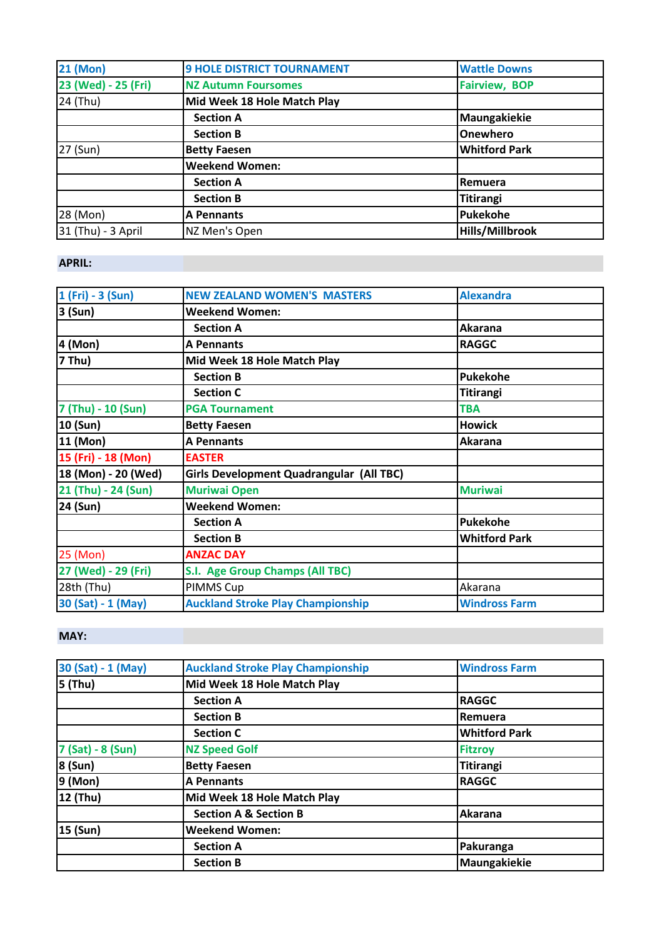| <b>21 (Mon)</b>     | <b>9 HOLE DISTRICT TOURNAMENT</b> | <b>Wattle Downs</b>    |
|---------------------|-----------------------------------|------------------------|
| 23 (Wed) - 25 (Fri) | <b>NZ Autumn Foursomes</b>        | <b>Fairview, BOP</b>   |
| 24 (Thu)            | Mid Week 18 Hole Match Play       |                        |
|                     | <b>Section A</b>                  | Maungakiekie           |
|                     | <b>Section B</b>                  | <b>Onewhero</b>        |
| 27 (Sun)            | <b>Betty Faesen</b>               | <b>Whitford Park</b>   |
|                     | <b>Weekend Women:</b>             |                        |
|                     | <b>Section A</b>                  | <b>Remuera</b>         |
|                     | <b>Section B</b>                  | <b>Titirangi</b>       |
| 28 (Mon)            | <b>A Pennants</b>                 | Pukekohe               |
| 31 (Thu) - 3 April  | NZ Men's Open                     | <b>Hills/Millbrook</b> |

#### **APRIL:**

| 1 (Fri) - 3 (Sun)   | <b>NEW ZEALAND WOMEN'S MASTERS</b>              | <b>Alexandra</b>     |
|---------------------|-------------------------------------------------|----------------------|
| 3 (Sun)             | <b>Weekend Women:</b>                           |                      |
|                     | <b>Section A</b>                                | <b>Akarana</b>       |
| 4 (Mon)             | <b>A Pennants</b>                               | <b>RAGGC</b>         |
| 7 Thu)              | Mid Week 18 Hole Match Play                     |                      |
|                     | <b>Section B</b>                                | <b>Pukekohe</b>      |
|                     | <b>Section C</b>                                | Titirangi            |
| 7 (Thu) - 10 (Sun)  | <b>PGA Tournament</b>                           | <b>TBA</b>           |
| 10 (Sun)            | <b>Betty Faesen</b>                             | <b>Howick</b>        |
| 11 (Mon)            | <b>A Pennants</b>                               | Akarana              |
| 15 (Fri) - 18 (Mon) | <b>EASTER</b>                                   |                      |
| 18 (Mon) - 20 (Wed) | <b>Girls Development Quadrangular (All TBC)</b> |                      |
| 21 (Thu) - 24 (Sun) | <b>Muriwai Open</b>                             | <b>Muriwai</b>       |
| 24 (Sun)            | <b>Weekend Women:</b>                           |                      |
|                     | <b>Section A</b>                                | <b>Pukekohe</b>      |
|                     | <b>Section B</b>                                | <b>Whitford Park</b> |
| 25 (Mon)            | <b>ANZAC DAY</b>                                |                      |
| 27 (Wed) - 29 (Fri) | S.I. Age Group Champs (All TBC)                 |                      |
| 28th (Thu)          | PIMMS Cup                                       | Akarana              |
| 30 (Sat) - 1 (May)  | <b>Auckland Stroke Play Championship</b>        | <b>Windross Farm</b> |

## **MAY:**

| 30 (Sat) - 1 (May) | <b>Auckland Stroke Play Championship</b> | <b>Windross Farm</b> |
|--------------------|------------------------------------------|----------------------|
| $5$ (Thu)          | Mid Week 18 Hole Match Play              |                      |
|                    | <b>Section A</b>                         | <b>RAGGC</b>         |
|                    | <b>Section B</b>                         | <b>Remuera</b>       |
|                    | <b>Section C</b>                         | <b>Whitford Park</b> |
| 7 (Sat) - 8 (Sun)  | <b>NZ Speed Golf</b>                     | <b>Fitzroy</b>       |
| 8 (Sun)            | <b>Betty Faesen</b>                      | Titirangi            |
| 9 (Mon)            | <b>A Pennants</b>                        | <b>RAGGC</b>         |
| 12 (Thu)           | Mid Week 18 Hole Match Play              |                      |
|                    | <b>Section A &amp; Section B</b>         | <b>Akarana</b>       |
| 15 (Sun)           | <b>Weekend Women:</b>                    |                      |
|                    | <b>Section A</b>                         | Pakuranga            |
|                    | <b>Section B</b>                         | Maungakiekie         |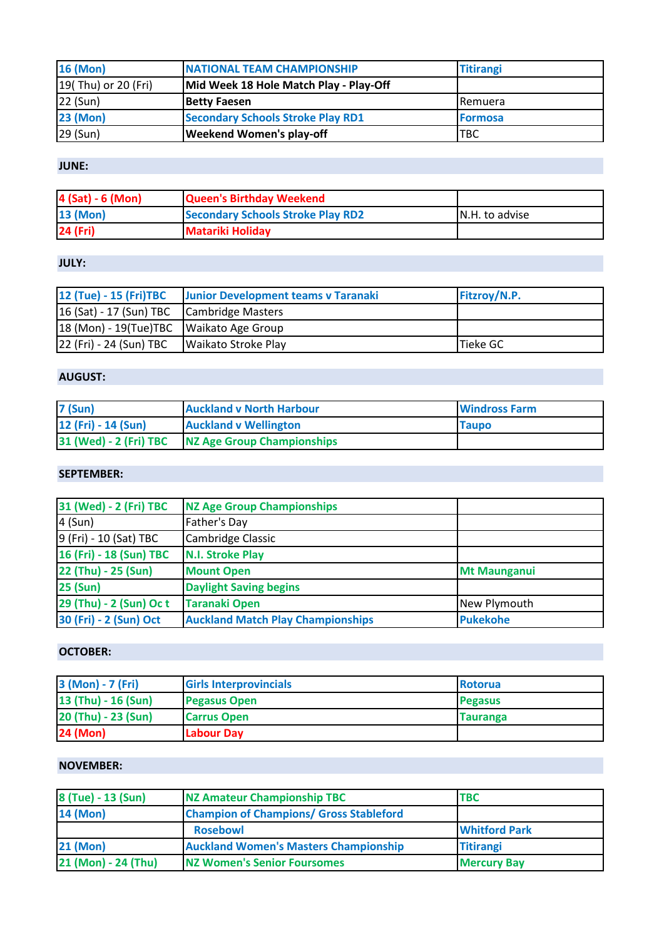| <b>16 (Mon)</b>      | NATIONAL TEAM CHAMPIONSHIP               | <b>Titirangi</b> |
|----------------------|------------------------------------------|------------------|
| [19(Thu) or 20 (Fri) | Mid Week 18 Hole Match Play - Play-Off   |                  |
| 22 (Sun)             | Betty Faesen                             | <b>I</b> Remuera |
| <b>23 (Mon)</b>      | <b>Secondary Schools Stroke Play RD1</b> | <b>Formosa</b>   |
| 29 (Sun)             | <b>Weekend Women's play-off</b>          | ITBC             |

### **JUNE:**

| $4 (Sat) - 6 (Mon)$ | <b>Queen's Birthday Weekend</b>          |                 |
|---------------------|------------------------------------------|-----------------|
| <b>13 (Mon)</b>     | <b>Secondary Schools Stroke Play RD2</b> | IN.H. to advise |
| 24 (Fri)            | <b>Matariki Holidav</b>                  |                 |

## **JULY:**

| 12 (Tue) - 15 (Fri)TBC  | Junior Development teams v Taranaki | Fitzroy/N.P. |
|-------------------------|-------------------------------------|--------------|
| 16 (Sat) - 17 (Sun) TBC | Cambridge Masters                   |              |
| 18 (Mon) - 19(Tue)TBC   | Waikato Age Group                   |              |
| 22 (Fri) - 24 (Sun) TBC | <b>Waikato Stroke Play</b>          | Tieke GC     |

## **AUGUST:**

| <b>7 (Sun)</b>         | <b>Auckland v North Harbour</b> | <b>Windross Farm</b> |
|------------------------|---------------------------------|----------------------|
| 12 (Fri) - 14 (Sun)    | <b>Auckland v Wellington</b>    | <b>Taupo</b>         |
| 31 (Wed) - 2 (Fri) TBC | NZ Age Group Championships      |                      |

#### **SEPTEMBER:**

| 31 (Wed) - 2 (Fri) TBC  | <b>NZ Age Group Championships</b>        |                     |
|-------------------------|------------------------------------------|---------------------|
| 4 (Sun)                 | Father's Day                             |                     |
| 9 (Fri) - 10 (Sat) TBC  | Cambridge Classic                        |                     |
| 16 (Fri) - 18 (Sun) TBC | <b>N.I. Stroke Play</b>                  |                     |
| 22 (Thu) - 25 (Sun)     | <b>Mount Open</b>                        | <b>Mt Maunganui</b> |
| <b>25 (Sun)</b>         | <b>Daylight Saving begins</b>            |                     |
| 29 (Thu) - 2 (Sun) Oc t | <b>Taranaki Open</b>                     | New Plymouth        |
| 30 (Fri) - 2 (Sun) Oct  | <b>Auckland Match Play Championships</b> | <b>Pukekohe</b>     |

## **OCTOBER:**

| 3 (Mon) - 7 (Fri)   | <b>Girls Interprovincials</b> | <b>Rotorua</b>  |
|---------------------|-------------------------------|-----------------|
| 13 (Thu) - 16 (Sun) | <b>Pegasus Open</b>           | <b>Pegasus</b>  |
| 20 (Thu) - 23 (Sun) | <b>Carrus Open</b>            | <b>Tauranga</b> |
| 24 (Mon)            | <b>Labour Day</b>             |                 |

## **NOVEMBER:**

| 8 (Tue) - 13 (Sun)  | NZ Amateur Championship TBC                    | <b>TBC</b>           |
|---------------------|------------------------------------------------|----------------------|
| 14 (Mon)            | <b>Champion of Champions/ Gross Stableford</b> |                      |
|                     | <b>Rosebowl</b>                                | <b>Whitford Park</b> |
| <b>21 (Mon)</b>     | <b>Auckland Women's Masters Championship</b>   | <b>Titirangi</b>     |
| 21 (Mon) - 24 (Thu) | NZ Women's Senior Foursomes                    | <b>Mercury Bay</b>   |